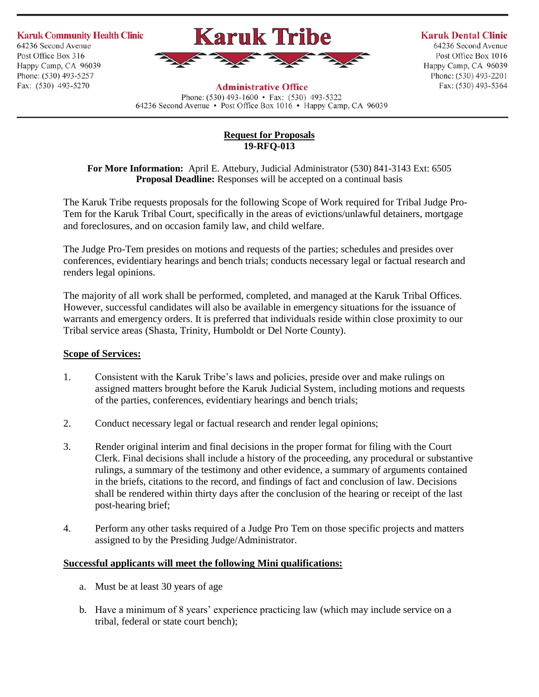**Karuk Community Health Clinic** 64236 Second Avenue Post Office Box 316 Happy Camp, CA 96039 Phone: (530) 493-5257 Fax: (530) 493-5270



## **Karuk Dental Clinic**

64236 Second Avenue Post Office Box 1016 Happy Camp, CA 96039 Phone: (530) 493-2201 Fax: (530) 493-5364

## **Administrative Office**

Phone:  $(530)$  493-1600 • Fax:  $(530)$  493-5322 64236 Second Avenue • Post Office Box 1016 • Happy Camp, CA 96039

## **Request for Proposals 19-RFQ-013**

**For More Information:** April E. Attebury, Judicial Administrator (530) 841-3143 Ext: 6505 **Proposal Deadline:** Responses will be accepted on a continual basis

The Karuk Tribe requests proposals for the following Scope of Work required for Tribal Judge Pro-Tem for the Karuk Tribal Court, specifically in the areas of evictions/unlawful detainers, mortgage and foreclosures, and on occasion family law, and child welfare.

The Judge Pro-Tem presides on motions and requests of the parties; schedules and presides over conferences, evidentiary hearings and bench trials; conducts necessary legal or factual research and renders legal opinions.

The majority of all work shall be performed, completed, and managed at the Karuk Tribal Offices. However, successful candidates will also be available in emergency situations for the issuance of warrants and emergency orders. It is preferred that individuals reside within close proximity to our Tribal service areas (Shasta, Trinity, Humboldt or Del Norte County).

# **Scope of Services:**

- 1. Consistent with the Karuk Tribe's laws and policies, preside over and make rulings on assigned matters brought before the Karuk Judicial System, including motions and requests of the parties, conferences, evidentiary hearings and bench trials;
- 2. Conduct necessary legal or factual research and render legal opinions;
- 3. Render original interim and final decisions in the proper format for filing with the Court Clerk. Final decisions shall include a history of the proceeding, any procedural or substantive rulings, a summary of the testimony and other evidence, a summary of arguments contained in the briefs, citations to the record, and findings of fact and conclusion of law. Decisions shall be rendered within thirty days after the conclusion of the hearing or receipt of the last post-hearing brief;
- 4. Perform any other tasks required of a Judge Pro Tem on those specific projects and matters assigned to by the Presiding Judge/Administrator.

# **Successful applicants will meet the following Mini qualifications:**

- a. Must be at least 30 years of age
- b. Have a minimum of 8 years' experience practicing law (which may include service on a tribal, federal or state court bench);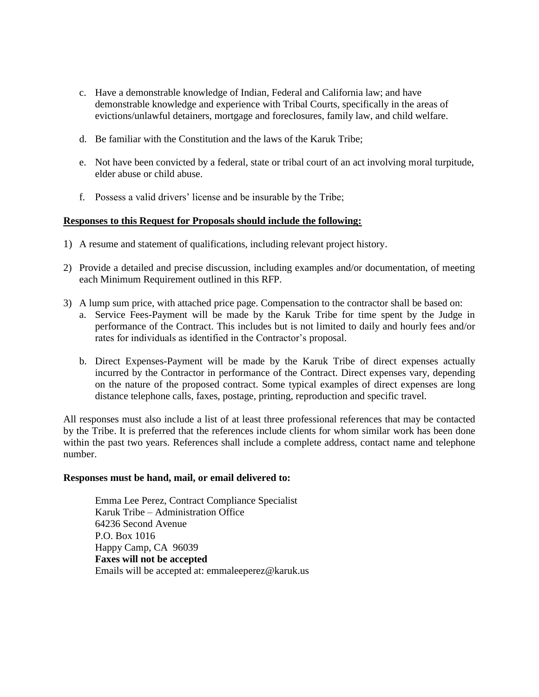- c. Have a demonstrable knowledge of Indian, Federal and California law; and have demonstrable knowledge and experience with Tribal Courts, specifically in the areas of evictions/unlawful detainers, mortgage and foreclosures, family law, and child welfare.
- d. Be familiar with the Constitution and the laws of the Karuk Tribe;
- e. Not have been convicted by a federal, state or tribal court of an act involving moral turpitude, elder abuse or child abuse.
- f. Possess a valid drivers' license and be insurable by the Tribe;

## **Responses to this Request for Proposals should include the following:**

- 1) A resume and statement of qualifications, including relevant project history.
- 2) Provide a detailed and precise discussion, including examples and/or documentation, of meeting each Minimum Requirement outlined in this RFP.
- 3) A lump sum price, with attached price page. Compensation to the contractor shall be based on:
	- a. Service Fees-Payment will be made by the Karuk Tribe for time spent by the Judge in performance of the Contract. This includes but is not limited to daily and hourly fees and/or rates for individuals as identified in the Contractor's proposal.
		- b. Direct Expenses-Payment will be made by the Karuk Tribe of direct expenses actually incurred by the Contractor in performance of the Contract. Direct expenses vary, depending on the nature of the proposed contract. Some typical examples of direct expenses are long distance telephone calls, faxes, postage, printing, reproduction and specific travel.

All responses must also include a list of at least three professional references that may be contacted by the Tribe. It is preferred that the references include clients for whom similar work has been done within the past two years. References shall include a complete address, contact name and telephone number.

#### **Responses must be hand, mail, or email delivered to:**

Emma Lee Perez, Contract Compliance Specialist Karuk Tribe – Administration Office 64236 Second Avenue P.O. Box 1016 Happy Camp, CA 96039 **Faxes will not be accepted** Emails will be accepted at: emmaleeperez@karuk.us